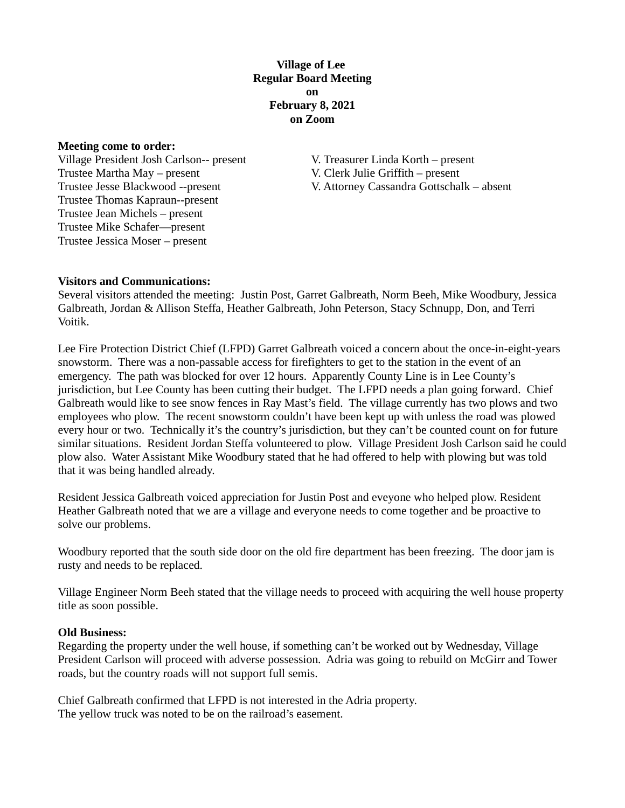## **Village of Lee Regular Board Meeting on February 8, 2021 on Zoom**

#### **Meeting come to order:**

Village President Josh Carlson-- present V. Treasurer Linda Korth – present Trustee Martha May – present V. Clerk Julie Griffith – present Trustee Thomas Kapraun--present Trustee Jean Michels – present Trustee Mike Schafer—present Trustee Jessica Moser – present

Trustee Jesse Blackwood --present V. Attorney Cassandra Gottschalk – absent

### **Visitors and Communications:**

Several visitors attended the meeting: Justin Post, Garret Galbreath, Norm Beeh, Mike Woodbury, Jessica Galbreath, Jordan & Allison Steffa, Heather Galbreath, John Peterson, Stacy Schnupp, Don, and Terri Voitik.

Lee Fire Protection District Chief (LFPD) Garret Galbreath voiced a concern about the once-in-eight-years snowstorm. There was a non-passable access for firefighters to get to the station in the event of an emergency. The path was blocked for over 12 hours. Apparently County Line is in Lee County's jurisdiction, but Lee County has been cutting their budget. The LFPD needs a plan going forward. Chief Galbreath would like to see snow fences in Ray Mast's field. The village currently has two plows and two employees who plow. The recent snowstorm couldn't have been kept up with unless the road was plowed every hour or two. Technically it's the country's jurisdiction, but they can't be counted count on for future similar situations. Resident Jordan Steffa volunteered to plow. Village President Josh Carlson said he could plow also. Water Assistant Mike Woodbury stated that he had offered to help with plowing but was told that it was being handled already.

Resident Jessica Galbreath voiced appreciation for Justin Post and eveyone who helped plow. Resident Heather Galbreath noted that we are a village and everyone needs to come together and be proactive to solve our problems.

Woodbury reported that the south side door on the old fire department has been freezing. The door jam is rusty and needs to be replaced.

Village Engineer Norm Beeh stated that the village needs to proceed with acquiring the well house property title as soon possible.

#### **Old Business:**

Regarding the property under the well house, if something can't be worked out by Wednesday, Village President Carlson will proceed with adverse possession. Adria was going to rebuild on McGirr and Tower roads, but the country roads will not support full semis.

Chief Galbreath confirmed that LFPD is not interested in the Adria property. The yellow truck was noted to be on the railroad's easement.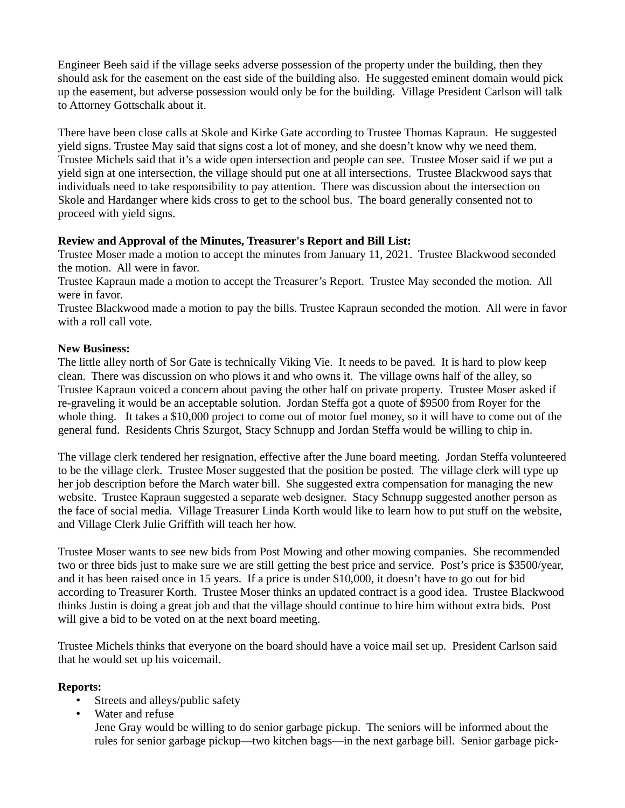Engineer Beeh said if the village seeks adverse possession of the property under the building, then they should ask for the easement on the east side of the building also. He suggested eminent domain would pick up the easement, but adverse possession would only be for the building. Village President Carlson will talk to Attorney Gottschalk about it.

There have been close calls at Skole and Kirke Gate according to Trustee Thomas Kapraun. He suggested yield signs. Trustee May said that signs cost a lot of money, and she doesn't know why we need them. Trustee Michels said that it's a wide open intersection and people can see. Trustee Moser said if we put a yield sign at one intersection, the village should put one at all intersections. Trustee Blackwood says that individuals need to take responsibility to pay attention. There was discussion about the intersection on Skole and Hardanger where kids cross to get to the school bus. The board generally consented not to proceed with yield signs.

## **Review and Approval of the Minutes, Treasurer's Report and Bill List:**

Trustee Moser made a motion to accept the minutes from January 11, 2021. Trustee Blackwood seconded the motion. All were in favor.

Trustee Kapraun made a motion to accept the Treasurer's Report. Trustee May seconded the motion. All were in favor.

Trustee Blackwood made a motion to pay the bills. Trustee Kapraun seconded the motion. All were in favor with a roll call vote.

#### **New Business:**

The little alley north of Sor Gate is technically Viking Vie. It needs to be paved. It is hard to plow keep clean. There was discussion on who plows it and who owns it. The village owns half of the alley, so Trustee Kapraun voiced a concern about paving the other half on private property. Trustee Moser asked if re-graveling it would be an acceptable solution. Jordan Steffa got a quote of \$9500 from Royer for the whole thing. It takes a \$10,000 project to come out of motor fuel money, so it will have to come out of the general fund. Residents Chris Szurgot, Stacy Schnupp and Jordan Steffa would be willing to chip in.

The village clerk tendered her resignation, effective after the June board meeting. Jordan Steffa volunteered to be the village clerk. Trustee Moser suggested that the position be posted. The village clerk will type up her job description before the March water bill. She suggested extra compensation for managing the new website. Trustee Kapraun suggested a separate web designer. Stacy Schnupp suggested another person as the face of social media. Village Treasurer Linda Korth would like to learn how to put stuff on the website, and Village Clerk Julie Griffith will teach her how.

Trustee Moser wants to see new bids from Post Mowing and other mowing companies. She recommended two or three bids just to make sure we are still getting the best price and service. Post's price is \$3500/year, and it has been raised once in 15 years. If a price is under \$10,000, it doesn't have to go out for bid according to Treasurer Korth. Trustee Moser thinks an updated contract is a good idea. Trustee Blackwood thinks Justin is doing a great job and that the village should continue to hire him without extra bids. Post will give a bid to be voted on at the next board meeting.

Trustee Michels thinks that everyone on the board should have a voice mail set up. President Carlson said that he would set up his voicemail.

## **Reports:**

- Streets and alleys/public safety
- Water and refuse

Jene Gray would be willing to do senior garbage pickup. The seniors will be informed about the rules for senior garbage pickup—two kitchen bags—in the next garbage bill. Senior garbage pick-